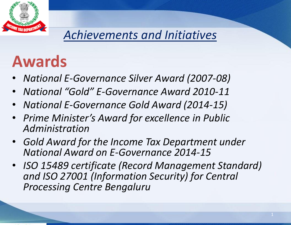

# **Awards**

- *National E-Governance Silver Award (2007-08)*
- *National "Gold" E-Governance Award 2010-11*
- *National E-Governance Gold Award (2014-15)*
- *Prime Minister's Award for excellence in Public Administration*
- *Gold Award for the Income Tax Department under National Award on E-Governance 2014-15*
- *ISO 15489 certificate (Record Management Standard) and ISO 27001 (Information Security) for Central Processing Centre Bengaluru*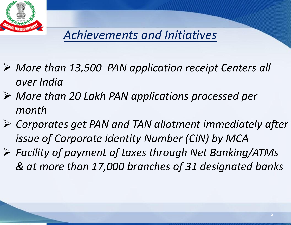

- *More than 13,500 PAN application receipt Centers all over India*
- *More than 20 Lakh PAN applications processed per month*
- *Corporates get PAN and TAN allotment immediately after issue of Corporate Identity Number (CIN) by MCA*
- *Facility of payment of taxes through Net Banking/ATMs & at more than 17,000 branches of 31 designated banks*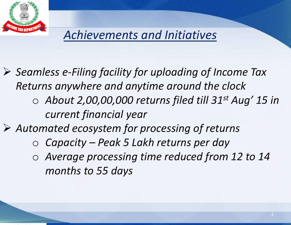

- *Seamless e-Filing facility for uploading of Income Tax Returns anywhere and anytime around the clock*
	- o *About 2,00,00,000 returns filed till 31st Aug' 15 in current financial year*
- *Automated ecosystem for processing of returns*
	- o *Capacity – Peak 5 Lakh returns per day*
	- o *Average processing time reduced from 12 to 14 months to 55 days*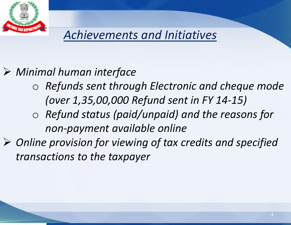

## *Minimal human interface*

- o *Refunds sent through Electronic and cheque mode (over 1,35,00,000 Refund sent in FY 14-15)*
- o *Refund status (paid/unpaid) and the reasons for non-payment available online*
- *Online provision for viewing of tax credits and specified transactions to the taxpayer*